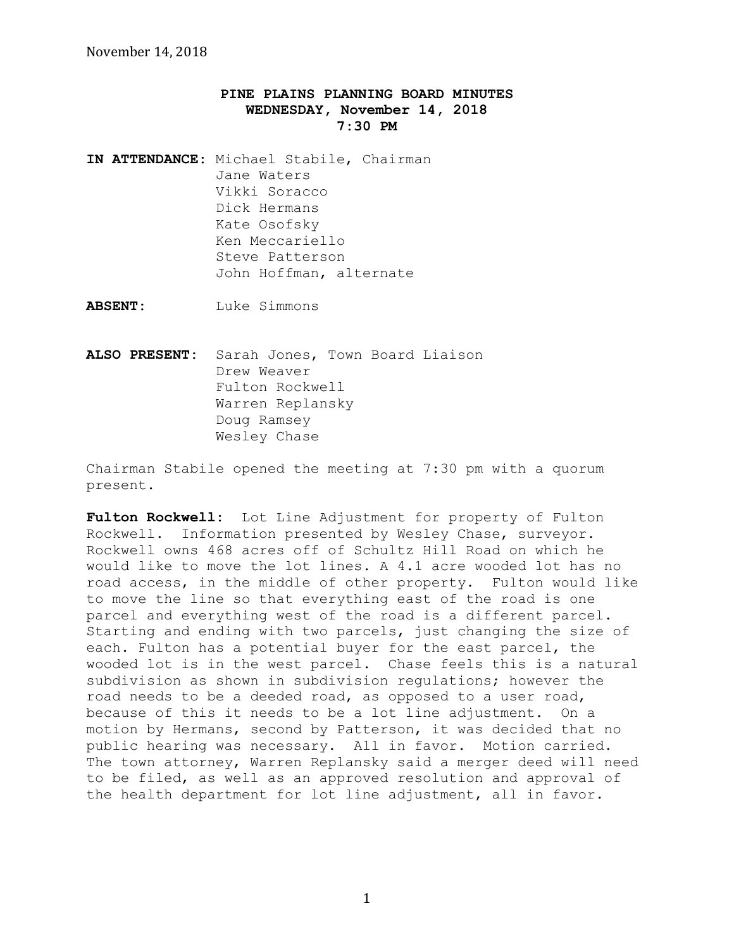## **PINE PLAINS PLANNING BOARD MINUTES WEDNESDAY, November 14, 2018 7:30 PM**

**IN ATTENDANCE:** Michael Stabile, Chairman Jane Waters Vikki Soracco Dick Hermans Kate Osofsky Ken Meccariello Steve Patterson John Hoffman, alternate

**ABSENT:** Luke Simmons

**ALSO PRESENT:** Sarah Jones, Town Board Liaison Drew Weaver Fulton Rockwell Warren Replansky Doug Ramsey Wesley Chase

Chairman Stabile opened the meeting at 7:30 pm with a quorum present.

Fulton Rockwell: Lot Line Adjustment for property of Fulton Rockwell. Information presented by Wesley Chase, surveyor. Rockwell owns 468 acres off of Schultz Hill Road on which he would like to move the lot lines. A 4.1 acre wooded lot has no road access, in the middle of other property. Fulton would like to move the line so that everything east of the road is one parcel and everything west of the road is a different parcel. Starting and ending with two parcels, just changing the size of each. Fulton has a potential buyer for the east parcel, the wooded lot is in the west parcel. Chase feels this is a natural subdivision as shown in subdivision regulations; however the road needs to be a deeded road, as opposed to a user road, because of this it needs to be a lot line adjustment. On a motion by Hermans, second by Patterson, it was decided that no public hearing was necessary. All in favor. Motion carried. The town attorney, Warren Replansky said a merger deed will need to be filed, as well as an approved resolution and approval of the health department for lot line adjustment, all in favor.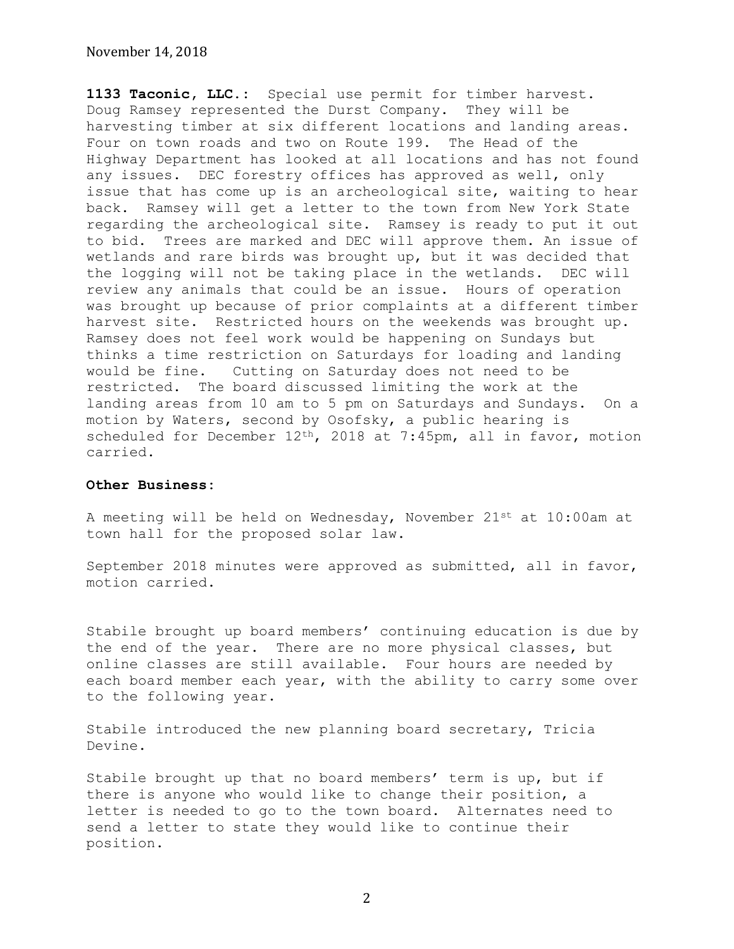## November 14, 2018

**1133 Taconic, LLC.:** Special use permit for timber harvest. Doug Ramsey represented the Durst Company. They will be harvesting timber at six different locations and landing areas. Four on town roads and two on Route 199. The Head of the Highway Department has looked at all locations and has not found any issues. DEC forestry offices has approved as well, only issue that has come up is an archeological site, waiting to hear back. Ramsey will get a letter to the town from New York State regarding the archeological site. Ramsey is ready to put it out to bid. Trees are marked and DEC will approve them. An issue of wetlands and rare birds was brought up, but it was decided that the logging will not be taking place in the wetlands. DEC will review any animals that could be an issue. Hours of operation was brought up because of prior complaints at a different timber harvest site. Restricted hours on the weekends was brought up. Ramsey does not feel work would be happening on Sundays but thinks a time restriction on Saturdays for loading and landing would be fine. Cutting on Saturday does not need to be restricted. The board discussed limiting the work at the landing areas from 10 am to 5 pm on Saturdays and Sundays. On a motion by Waters, second by Osofsky, a public hearing is scheduled for December 12th, 2018 at 7:45pm, all in favor, motion carried.

## **Other Business:**

A meeting will be held on Wednesday, November 21st at 10:00am at town hall for the proposed solar law.

September 2018 minutes were approved as submitted, all in favor, motion carried.

Stabile brought up board members' continuing education is due by the end of the year. There are no more physical classes, but online classes are still available. Four hours are needed by each board member each year, with the ability to carry some over to the following year.

Stabile introduced the new planning board secretary, Tricia Devine.

Stabile brought up that no board members' term is up, but if there is anyone who would like to change their position, a letter is needed to go to the town board. Alternates need to send a letter to state they would like to continue their position.

2